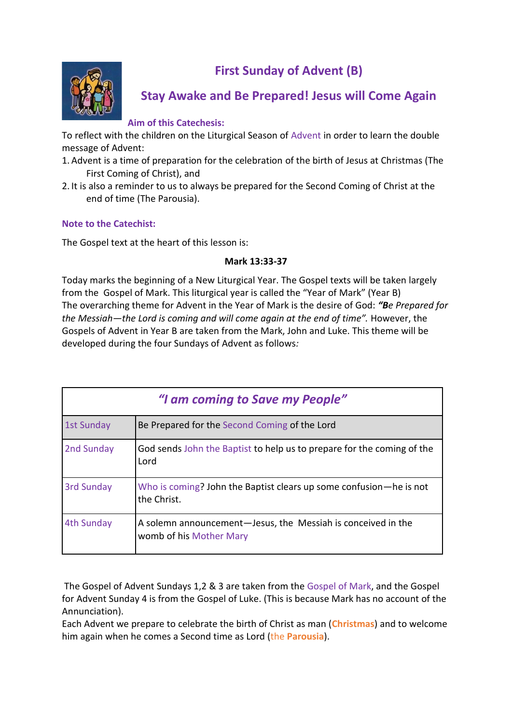



# **Stay Awake and Be Prepared! Jesus will Come Again**

#### **Aim of this Catechesis:**

To reflect with the children on the Liturgical Season of Advent in order to learn the double message of Advent:

- 1. Advent is a time of preparation for the celebration of the birth of Jesus at Christmas (The First Coming of Christ), and
- 2. It is also a reminder to us to always be prepared for the Second Coming of Christ at the end of time (The Parousia).

## **Note to the Catechist:**

The Gospel text at the heart of this lesson is:

#### **Mark 13:33-37**

Today marks the beginning of a New Liturgical Year. The Gospel texts will be taken largely from the Gospel of Mark. This liturgical year is called the "Year of Mark" (Year B) The overarching theme for Advent in the Year of Mark is the desire of God: *"Be Prepared for the Messiah—the Lord is coming and will come again at the end of time".* However, the Gospels of Advent in Year B are taken from the Mark, John and Luke. This theme will be developed during the four Sundays of Advent as follows*:*

| "I am coming to Save my People" |                                                                                         |
|---------------------------------|-----------------------------------------------------------------------------------------|
| <b>1st Sunday</b>               | Be Prepared for the Second Coming of the Lord                                           |
| 2nd Sunday                      | God sends John the Baptist to help us to prepare for the coming of the<br>Lord          |
| <b>3rd Sunday</b>               | Who is coming? John the Baptist clears up some confusion—he is not<br>the Christ.       |
| 4th Sunday                      | A solemn announcement—Jesus, the Messiah is conceived in the<br>womb of his Mother Mary |

The Gospel of Advent Sundays 1,2 & 3 are taken from the Gospel of Mark, and the Gospel for Advent Sunday 4 is from the Gospel of Luke. (This is because Mark has no account of the Annunciation).

Each Advent we prepare to celebrate the birth of Christ as man (**Christmas**) and to welcome him again when he comes a Second time as Lord (the **Parousia**).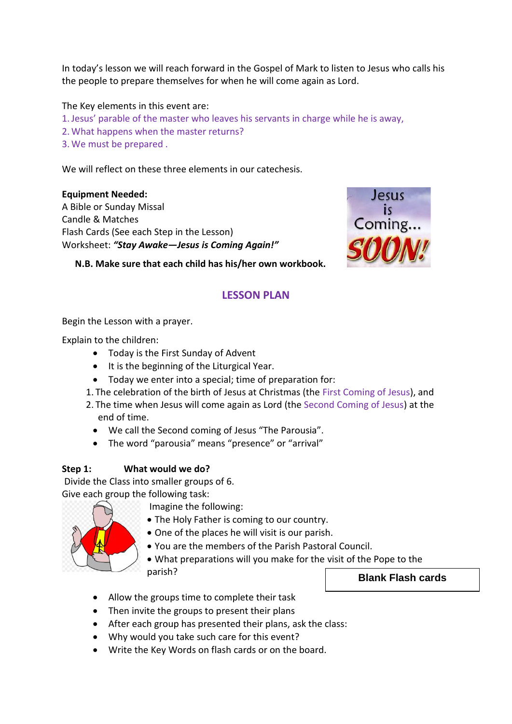In today's lesson we will reach forward in the Gospel of Mark to listen to Jesus who calls his the people to prepare themselves for when he will come again as Lord.

The Key elements in this event are:

- 1.Jesus' parable of the master who leaves his servants in charge while he is away,
- 2. What happens when the master returns?
- 3. We must be prepared .

We will reflect on these three elements in our catechesis.

**Equipment Needed:**

A Bible or Sunday Missal Candle & Matches Flash Cards (See each Step in the Lesson) Worksheet: *"Stay Awake—Jesus is Coming Again!"*



**N.B. Make sure that each child has his/her own workbook.**

# **LESSON PLAN**

Begin the Lesson with a prayer.

Explain to the children:

- Today is the First Sunday of Advent
- $\bullet$  It is the beginning of the Liturgical Year.
- Today we enter into a special; time of preparation for:
- 1. The celebration of the birth of Jesus at Christmas (the First Coming of Jesus), and
- 2. The time when Jesus will come again as Lord (the Second Coming of Jesus) at the end of time.
	- We call the Second coming of Jesus "The Parousia".
	- The word "parousia" means "presence" or "arrival"

## **Step 1: What would we do?**

Divide the Class into smaller groups of 6.

Give each group the following task:



- Imagine the following:
- The Holy Father is coming to our country.
- One of the places he will visit is our parish.
- You are the members of the Parish Pastoral Council.
- What preparations will you make for the visit of the Pope to the parish?
- Allow the groups time to complete their task
- Then invite the groups to present their plans
- After each group has presented their plans, ask the class:
- Why would you take such care for this event?
- Write the Key Words on flash cards or on the board.

# **Blank Flash cards**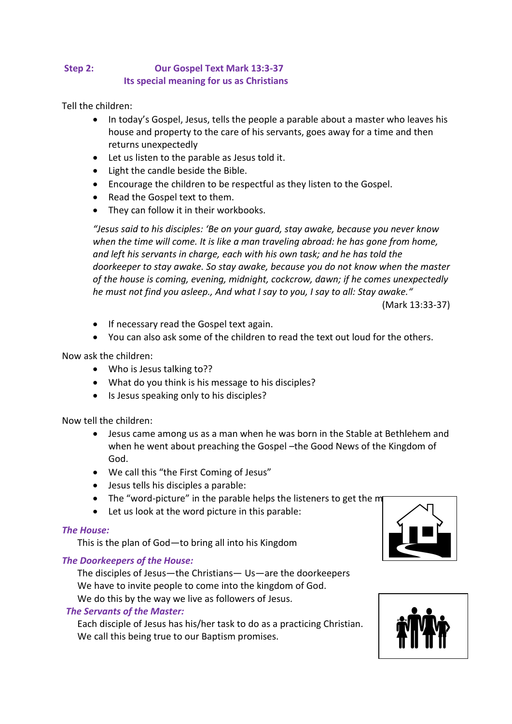# **Step 2: Our Gospel Text Mark 13:3-37 Its special meaning for us as Christians**

Tell the children:

- In today's Gospel, Jesus, tells the people a parable about a master who leaves his house and property to the care of his servants, goes away for a time and then returns unexpectedly
- Let us listen to the parable as Jesus told it.
- Light the candle beside the Bible.
- Encourage the children to be respectful as they listen to the Gospel.
- Read the Gospel text to them.
- They can follow it in their workbooks.

*"Jesus said to his disciples: 'Be on your guard, stay awake, because you never know when the time will come. It is like a man traveling abroad: he has gone from home, and left his servants in charge, each with his own task; and he has told the doorkeeper to stay awake. So stay awake, because you do not know when the master of the house is coming, evening, midnight, cockcrow, dawn; if he comes unexpectedly he must not find you asleep., And what I say to you, I say to all: Stay awake."*

(Mark 13:33-37)

- If necessary read the Gospel text again.
- You can also ask some of the children to read the text out loud for the others.

#### Now ask the children:

- Who is Jesus talking to??
- What do you think is his message to his disciples?
- Is Jesus speaking only to his disciples?

Now tell the children:

- Jesus came among us as a man when he was born in the Stable at Bethlehem and when he went about preaching the Gospel –the Good News of the Kingdom of God.
- We call this "the First Coming of Jesus"
- Jesus tells his disciples a parable:
- The "word-picture" in the parable helps the listeners to get the m
- Let us look at the word picture in this parable:

#### *The House:*

This is the plan of God—to bring all into his Kingdom

#### *The Doorkeepers of the House:*

The disciples of Jesus—the Christians— Us—are the doorkeepers We have to invite people to come into the kingdom of God. We do this by the way we live as followers of Jesus.

#### *The Servants of the Master:*

Each disciple of Jesus has his/her task to do as a practicing Christian. We call this being true to our Baptism promises.



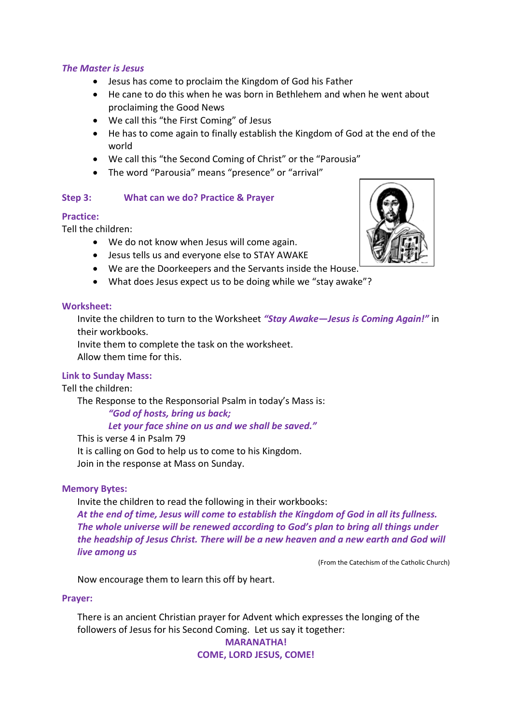#### *The Master is Jesus*

- Jesus has come to proclaim the Kingdom of God his Father
- He cane to do this when he was born in Bethlehem and when he went about proclaiming the Good News
- We call this "the First Coming" of Jesus
- He has to come again to finally establish the Kingdom of God at the end of the world
- We call this "the Second Coming of Christ" or the "Parousia"
- The word "Parousia" means "presence" or "arrival"

#### **Step 3: What can we do? Practice & Prayer**

#### **Practice:**

Tell the children:

- We do not know when Jesus will come again.
- Jesus tells us and everyone else to STAY AWAKE
- We are the Doorkeepers and the Servants inside the House.
- What does Jesus expect us to be doing while we "stay awake"?

#### **Worksheet:**

Invite the children to turn to the Worksheet *"Stay Awake—Jesus is Coming Again!"* in their workbooks.

Invite them to complete the task on the worksheet.

Allow them time for this.

## **Link to Sunday Mass:**

Tell the children:

The Response to the Responsorial Psalm in today's Mass is:

*"God of hosts, bring us back;* 

*Let your face shine on us and we shall be saved."*

This is verse 4 in Psalm 79 It is calling on God to help us to come to his Kingdom. Join in the response at Mass on Sunday.

#### **Memory Bytes:**

Invite the children to read the following in their workbooks:

*At the end of time, Jesus will come to establish the Kingdom of God in all its fullness. The whole universe will be renewed according to God's plan to bring all things under the headship of Jesus Christ. There will be a new heaven and a new earth and God will live among us*

(From the Catechism of the Catholic Church)

Now encourage them to learn this off by heart.

#### **Prayer:**

There is an ancient Christian prayer for Advent which expresses the longing of the followers of Jesus for his Second Coming. Let us say it together: **MARANATHA!**

**COME, LORD JESUS, COME!**